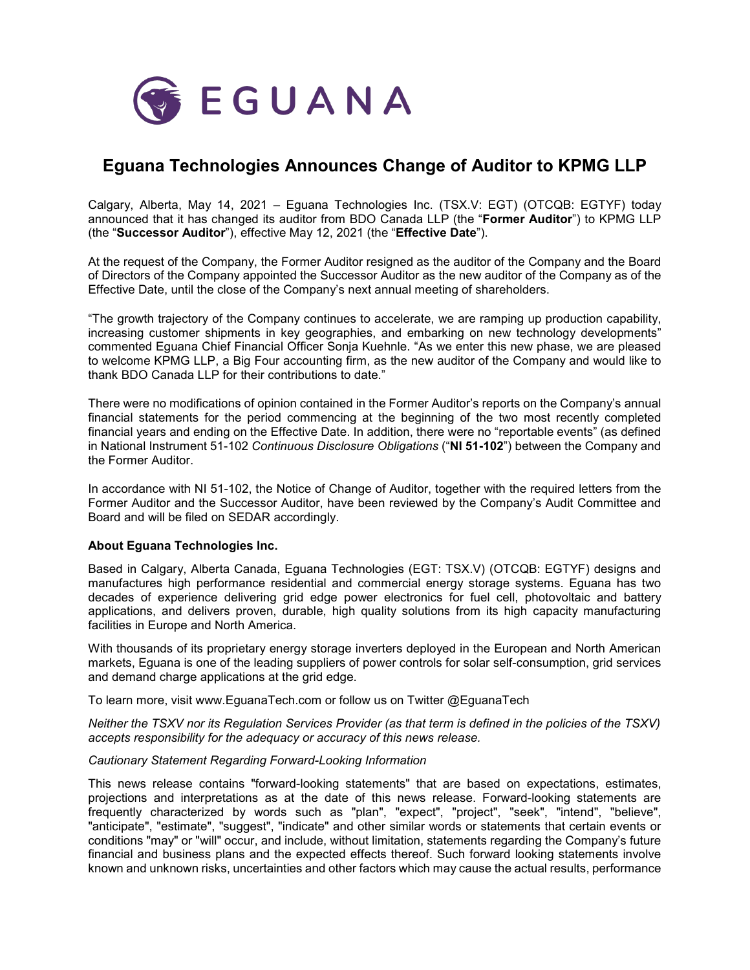

## **Eguana Technologies Announces Change of Auditor to KPMG LLP**

Calgary, Alberta, May 14, 2021 – Eguana Technologies Inc. (TSX.V: EGT) (OTCQB: EGTYF) today announced that it has changed its auditor from BDO Canada LLP (the "**Former Auditor**") to KPMG LLP (the "**Successor Auditor**"), effective May 12, 2021 (the "**Effective Date**").

At the request of the Company, the Former Auditor resigned as the auditor of the Company and the Board of Directors of the Company appointed the Successor Auditor as the new auditor of the Company as of the Effective Date, until the close of the Company's next annual meeting of shareholders.

"The growth trajectory of the Company continues to accelerate, we are ramping up production capability, increasing customer shipments in key geographies, and embarking on new technology developments" commented Eguana Chief Financial Officer Sonja Kuehnle. "As we enter this new phase, we are pleased to welcome KPMG LLP, a Big Four accounting firm, as the new auditor of the Company and would like to thank BDO Canada LLP for their contributions to date."

There were no modifications of opinion contained in the Former Auditor's reports on the Company's annual financial statements for the period commencing at the beginning of the two most recently completed financial years and ending on the Effective Date. In addition, there were no "reportable events" (as defined in National Instrument 51-102 *Continuous Disclosure Obligations* ("**NI 51-102**") between the Company and the Former Auditor.

In accordance with NI 51-102, the Notice of Change of Auditor, together with the required letters from the Former Auditor and the Successor Auditor, have been reviewed by the Company's Audit Committee and Board and will be filed on SEDAR accordingly.

## **About Eguana Technologies Inc.**

Based in Calgary, Alberta Canada, Eguana Technologies (EGT: TSX.V) (OTCQB: EGTYF) designs and manufactures high performance residential and commercial energy storage systems. Eguana has two decades of experience delivering grid edge power electronics for fuel cell, photovoltaic and battery applications, and delivers proven, durable, high quality solutions from its high capacity manufacturing facilities in Europe and North America.

With thousands of its proprietary energy storage inverters deployed in the European and North American markets, Eguana is one of the leading suppliers of power controls for solar self-consumption, grid services and demand charge applications at the grid edge.

To learn more, visit www.EguanaTech.com or follow us on Twitter @EguanaTech

*Neither the TSXV nor its Regulation Services Provider (as that term is defined in the policies of the TSXV) accepts responsibility for the adequacy or accuracy of this news release.* 

## *Cautionary Statement Regarding Forward-Looking Information*

This news release contains "forward-looking statements" that are based on expectations, estimates, projections and interpretations as at the date of this news release. Forward-looking statements are frequently characterized by words such as "plan", "expect", "project", "seek", "intend", "believe", "anticipate", "estimate", "suggest", "indicate" and other similar words or statements that certain events or conditions "may" or "will" occur, and include, without limitation, statements regarding the Company's future financial and business plans and the expected effects thereof. Such forward looking statements involve known and unknown risks, uncertainties and other factors which may cause the actual results, performance